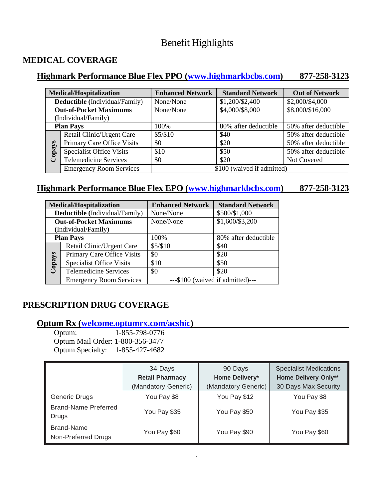# Benefit Highlights

# **MEDICAL COVERAGE**

# **Highmark Performance Blue Flex PPO [\(www.highmarkbcbs.com\)](http://www.highmarkbcbs.com/) 877-258-3123**

| <b>Medical/Hospitalization</b> |                                 | <b>Enhanced Network</b>               | <b>Standard Network</b> | <b>Out of Network</b> |
|--------------------------------|---------------------------------|---------------------------------------|-------------------------|-----------------------|
| Deductible (Individual/Family) |                                 | None/None                             | \$1,200/\$2,400         | \$2,000/\$4,000       |
| <b>Out-of-Pocket Maximums</b>  |                                 | None/None                             | \$4,000/\$8,000         | \$8,000/\$16,000      |
| (Individual/Family)            |                                 |                                       |                         |                       |
| <b>Plan Pays</b>               |                                 | 100%                                  | 80% after deductible    | 50% after deductible  |
| Copays                         | Retail Clinic/Urgent Care       | \$5/\$10                              | \$40                    | 50% after deductible  |
|                                | Primary Care Office Visits      | \$0                                   | \$20                    | 50% after deductible  |
|                                | <b>Specialist Office Visits</b> | \$10                                  | \$50                    | 50% after deductible  |
|                                | <b>Telemedicine Services</b>    | \$0                                   | \$20                    | Not Covered           |
|                                | <b>Emergency Room Services</b>  | -\$100 (waived if admitted)---------- |                         |                       |

# **Highmark Performance Blue Flex EPO [\(www.highmarkbcbs.com\)](http://www.highmarkbcbs.com/) 877-258-3123**

| <b>Medical/Hospitalization</b> |                                 | <b>Enhanced Network</b> | <b>Standard Network</b>          |
|--------------------------------|---------------------------------|-------------------------|----------------------------------|
| Deductible (Individual/Family) |                                 | None/None               | \$500/\$1,000                    |
| <b>Out-of-Pocket Maximums</b>  |                                 | None/None               | \$1,600/\$3,200                  |
| (Individual/Family)            |                                 |                         |                                  |
| <b>Plan Pays</b>               |                                 | 100%                    | 80% after deductible             |
| Copays                         | Retail Clinic/Urgent Care       | \$5/\$10                | \$40                             |
|                                | Primary Care Office Visits      | \$0                     | \$20                             |
|                                | <b>Specialist Office Visits</b> | \$10                    | \$50                             |
|                                | <b>Telemedicine Services</b>    | \$0                     | \$20                             |
|                                | <b>Emergency Room Services</b>  |                         | ---\$100 (waived if admitted)--- |

# **PRESCRIPTION DRUG COVERAGE**

# **Optum Rx [\(welcome.optumrx.com/acshic\)](welcome.optumrx.com/acshic)**

Optum: 1-855-798-0776 Optum Mail Order: 1-800-356-3477 Optum Specialty: 1-855-427-4682

|                                      | 34 Days                | 90 Days             | <b>Specialist Medications</b> |
|--------------------------------------|------------------------|---------------------|-------------------------------|
|                                      | <b>Retail Pharmacy</b> | Home Delivery*      | <b>Home Delivery Only**</b>   |
|                                      | (Mandatory Generic)    | (Mandatory Generic) | 30 Days Max Security          |
| Generic Drugs                        | You Pay \$8            | You Pay \$12        | You Pay \$8                   |
| <b>Brand-Name Preferred</b><br>Drugs | You Pay \$35           | You Pay \$50        | You Pay \$35                  |
| Brand-Name<br>Non-Preferred Drugs    | You Pay \$60           | You Pay \$90        | You Pay \$60                  |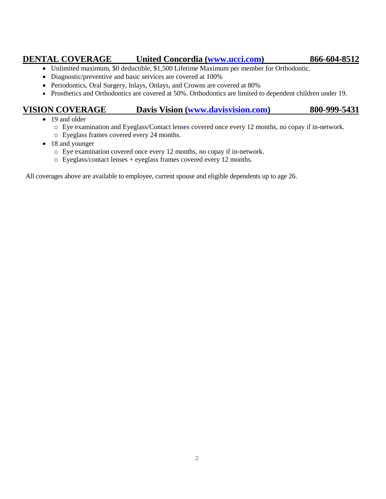# **DENTAL COVERAGE United Concordia [\(www.ucci.com\)](http://www.ucci.com/) 866-604-8512**

- Unlimited maximum, \$0 deductible, \$1,500 Lifetime Maximum per member for Orthodontic.
- Diagnostic/preventive and basic services are covered at 100%
- Periodontics, Oral Surgery, Inlays, Onlays, and Crowns are covered at 80%
- Prosthetics and Orthodontics are covered at 50%. Orthodontics are limited to dependent children under 19.

# **VISION COVERAGE Davis Vision [\(www.davisvision.com\)](http://www.davisvision.com/) 800-999-5431**

- 19 and older
	- o Eye examination and Eyeglass/Contact lenses covered once every 12 months, no copay if in-network.
	- o Eyeglass frames covered every 24 months.
- 18 and younger
	- o Eye examination covered once every 12 months, no copay if in-network.
	- o Eyeglass/contact lenses + eyeglass frames covered every 12 months.

All coverages above are available to employee, current spouse and eligible dependents up to age 26.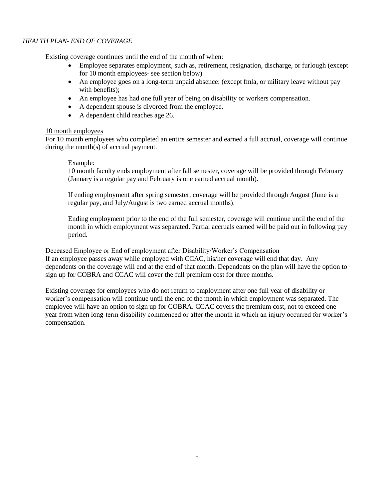## *HEALTH PLAN- END OF COVERAGE*

Existing coverage continues until the end of the month of when:

- Employee separates employment, such as, retirement, resignation, discharge, or furlough (except for 10 month employees- see section below)
- An employee goes on a long-term unpaid absence: (except fmla, or military leave without pay with benefits);
- An employee has had one full year of being on disability or workers compensation.
- A dependent spouse is divorced from the employee.
- A dependent child reaches age 26.

## 10 month employees

For 10 month employees who completed an entire semester and earned a full accrual, coverage will continue during the month(s) of accrual payment.

#### Example:

10 month faculty ends employment after fall semester, coverage will be provided through February (January is a regular pay and February is one earned accrual month).

If ending employment after spring semester, coverage will be provided through August (June is a regular pay, and July/August is two earned accrual months).

Ending employment prior to the end of the full semester, coverage will continue until the end of the month in which employment was separated. Partial accruals earned will be paid out in following pay period.

#### Deceased Employee or End of employment after Disability/Worker's Compensation

If an employee passes away while employed with CCAC, his/her coverage will end that day. Any dependents on the coverage will end at the end of that month. Dependents on the plan will have the option to sign up for COBRA and CCAC will cover the full premium cost for three months.

Existing coverage for employees who do not return to employment after one full year of disability or worker's compensation will continue until the end of the month in which employment was separated. The employee will have an option to sign up for COBRA. CCAC covers the premium cost, not to exceed one year from when long-term disability commenced or after the month in which an injury occurred for worker's compensation.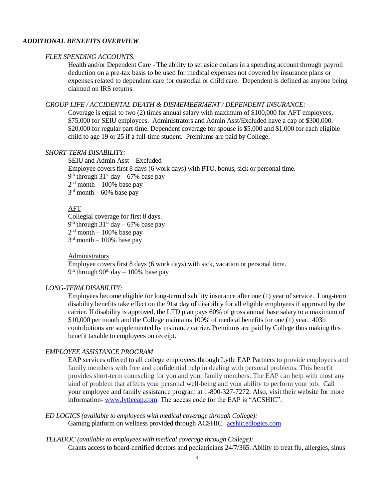## *ADDITIONAL BENEFITS OVERVIEW*

#### *FLEX SPENDING ACCOUNTS:*

Health and/or Dependent Care - The ability to set aside dollars in a spending account through payroll deduction on a pre-tax basis to be used for medical expenses not covered by insurance plans or expenses related to dependent care for custodial or child care. Dependent is defined as anyone being claimed on IRS returns.

#### *GROUP LIFE / ACCIDENTAL DEATH & DISMEMBERMENT / DEPENDENT INSURANCE:*

Coverage is equal to two (2) times annual salary with maximum of \$100,000 for AFT employees, \$75,000 for SEIU employees. Administrators and Admin Asst/Excluded have a cap of \$300,000. \$20,000 for regular part-time. Dependent coverage for spouse is \$5,000 and \$1,000 for each eligible child to age 19 or 25 if a full-time student. Premiums are paid by College.

## *SHORT-TERM DISABILITY:*

SEIU and Admin Asst – Excluded Employee covers first 8 days (6 work days) with PTO, bonus, sick or personal time.  $9<sup>th</sup>$  through 31<sup>st</sup> day – 67% base pay  $2<sup>nd</sup>$  month  $-100%$  base pay  $3<sup>rd</sup>$  month  $-60%$  base pay

#### AFT

Collegial coverage for first 8 days.  $9<sup>th</sup>$  through 31<sup>st</sup> day – 67% base pay  $2<sup>nd</sup>$  month  $-100%$  base pay 3<sup>rd</sup> month – 100% base pay

#### Administrators

Employee covers first 8 days (6 work days) with sick, vacation or personal time. 9<sup>th</sup> through 90<sup>th</sup> day – 100% base pay

## *LONG-TERM DISABILITY:*

Employees become eligible for long-term disability insurance after one (1) year of service. Long-term disability benefits take effect on the 91st day of disability for all eligible employees if approved by the carrier. If disability is approved, the LTD plan pays 60% of gross annual base salary to a maximum of \$10,000 per month and the College maintains 100% of medical benefits for one (1) year. 403b contributions are supplemented by insurance carrier. Premiums are paid by College thus making this benefit taxable to employees on receipt.

#### *EMPLOYEE ASSISTANCE PROGRAM*

EAP services offered to all college employees through Lytle EAP Partners to provide employees and family members with free and confidential help in dealing with personal problems. This benefit provides short-term counseling for you and your family members. The EAP can help with most any kind of problem that affects your personal well-being and your ability to perform your job. Call your employee and family assistance program at 1-800-327-7272. Also, visit their website for more information- [www.lytleeap.com.](http://www.lytleeap.com/) The access code for the EAP is "ACSHIC".

#### *ED LOGICS (available to employees with medical coverage through College):*

Gaming platform on wellness provided through ACSHIC. [acshic.edlogics.com](file://///ccac.org/HR/Compensation/Salary%20Guidelines/2021/acshic.edlogics.com)

#### *TELADOC (available to employees with medical coverage through College):*

Grants access to board-certified doctors and pediatricians 24/7/365. Ability to treat flu, allergies, sinus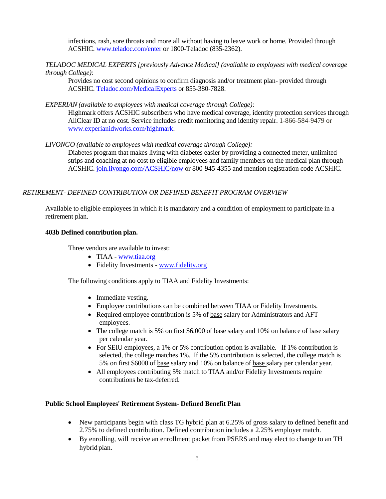infections, rash, sore throats and more all without having to leave work or home. Provided through ACSHIC. [www.teladoc.com/enter](http://www.teladoc.com/enter) or 1800-Teladoc (835-2362).

*TELADOC MEDICAL EXPERTS [previously Advance Medical] (available to employees with medical coverage through College):*

Provides no cost second opinions to confirm diagnosis and/or treatment plan- provided through ACSHIC. [Teladoc.com/MedicalExperts](file://///ccac.org/HR/Compensation/Salary%20Guidelines/2021/Teladoc.com/MedicalExperts) or 855-380-7828.

*EXPERIAN (available to employees with medical coverage through College):*

Highmark offers ACSHIC subscribers who have medical coverage, identity protection services through AllClear ID at no cost. Service includes credit monitoring and identity repair. 1-866-584-9479 or [www.experianidworks.com/highmark.](http://www.experianidworks.com/highmark)

*LIVONGO (available to employees with medical coverage through College):*

Diabetes program that makes living with diabetes easier by providing a connected meter, unlimited strips and coaching at no cost to eligible employees and family members on the medical plan through ACSHIC. [join.livongo.com/ACSHIC/now](file://///ccac.org/HR/Compensation/Salary%20Guidelines/2021/join.livongo.com/ACSHIC/now) or 800-945-4355 and mention registration code ACSHIC.

### *RETIREMENT- DEFINED CONTRIBUTION OR DEFINED BENEFIT PROGRAM OVERVIEW*

Available to eligible employees in which it is mandatory and a condition of employment to participate in a retirement plan.

#### **403b Defined contribution plan.**

Three vendors are available to invest:

- TIAA [www.tiaa.org](http://www.tiaa.org/)
- Fidelity Investments [www.fidelity.org](http://www.fidelity.org/)

The following conditions apply to TIAA and Fidelity Investments:

- Immediate vesting.
- Employee contributions can be combined between TIAA or Fidelity Investments.
- Required employee contribution is 5% of base salary for Administrators and AFT employees.
- The college match is 5% on first \$6,000 of base salary and 10% on balance of base salary per calendar year.
- For SEIU employees, a 1% or 5% contribution option is available. If 1% contribution is selected, the college matches 1%. If the 5% contribution is selected, the college match is 5% on first \$6000 of base salary and 10% on balance of base salary per calendar year.
- All employees contributing 5% match to TIAA and/or Fidelity Investments require contributions be tax-deferred.

#### **Public School Employees' Retirement System- Defined Benefit Plan**

- New participants begin with class TG hybrid plan at 6.25% of gross salary to defined benefit and 2.75% to defined contribution. Defined contribution includes a 2.25% employer match.
- By enrolling, will receive an enrollment packet from PSERS and may elect to change to an TH hybrid plan.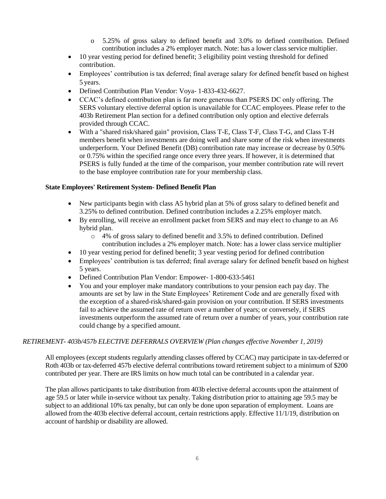- o 5.25% of gross salary to defined benefit and 3.0% to defined contribution. Defined contribution includes a 2% employer match. Note: has a lower class service multiplier.
- 10 year vesting period for defined benefit; 3 eligibility point vesting threshold for defined contribution.
- Employees' contribution is tax deferred; final average salary for defined benefit based on highest 5 years.
- Defined Contribution Plan Vendor: Voya- 1-833-432-6627.
- CCAC's defined contribution plan is far more generous than PSERS DC only offering. The SERS voluntary elective deferral option is unavailable for CCAC employees. Please refer to the 403b Retirement Plan section for a defined contribution only option and elective deferrals provided through CCAC.
- With a "shared risk/shared gain" provision, Class T-E, Class T-F, Class T-G, and Class T-H members benefit when investments are doing well and share some of the risk when investments underperform. Your Defined Benefit (DB) contribution rate may increase or decrease by 0.50% or 0.75% within the specified range once every three years. If however, it is determined that PSERS is fully funded at the time of the comparison, your member contribution rate will revert to the base employee contribution rate for your membership class.

## **State Employees' Retirement System- Defined Benefit Plan**

- New participants begin with class A5 hybrid plan at 5% of gross salary to defined benefit and 3.25% to defined contribution. Defined contribution includes a 2.25% employer match.
- By enrolling, will receive an enrollment packet from SERS and may elect to change to an A6 hybrid plan.
	- o 4% of gross salary to defined benefit and 3.5% to defined contribution. Defined contribution includes a 2% employer match. Note: has a lower class service multiplier
- 10 year vesting period for defined benefit; 3 year vesting period for defined contribution
- Employees' contribution is tax deferred; final average salary for defined benefit based on highest 5 years.
- Defined Contribution Plan Vendor: Empower- 1-800-633-5461
- You and your employer make mandatory contributions to your pension each pay day. The amounts are set by law in the State Employees' Retirement Code and are generally fixed with the exception of a shared-risk/shared-gain provision on your contribution. If SERS investments fail to achieve the assumed rate of return over a number of years; or conversely, if SERS investments outperform the assumed rate of return over a number of years, your contribution rate could change by a specified amount.

# *RETIREMENT- 403b/457b ELECTIVE DEFERRALS OVERVIEW (Plan changes effective November 1, 2019)*

All employees (except students regularly attending classes offered by CCAC) may participate in tax-deferred or Roth 403b or tax-deferred 457b elective deferral contributions toward retirement subject to a minimum of \$200 contributed per year. There are IRS limits on how much total can be contributed in a calendar year.

The plan allows participants to take distribution from 403b elective deferral accounts upon the attainment of age 59.5 or later while in-service without tax penalty. Taking distribution prior to attaining age 59.5 may be subject to an additional 10% tax penalty, but can only be done upon separation of employment. Loans are allowed from the 403b elective deferral account, certain restrictions apply. Effective 11/1/19, distribution on account of hardship or disability are allowed.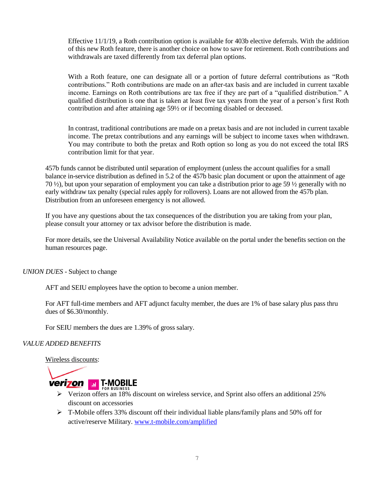Effective 11/1/19, a Roth contribution option is available for 403b elective deferrals. With the addition of this new Roth feature, there is another choice on how to save for retirement. Roth contributions and withdrawals are taxed differently from tax deferral plan options.

With a Roth feature, one can designate all or a portion of future deferral contributions as "Roth contributions." Roth contributions are made on an after-tax basis and are included in current taxable income. Earnings on Roth contributions are tax free if they are part of a "qualified distribution." A qualified distribution is one that is taken at least five tax years from the year of a person's first Roth contribution and after attaining age 59½ or if becoming disabled or deceased.

In contrast, traditional contributions are made on a pretax basis and are not included in current taxable income. The pretax contributions and any earnings will be subject to income taxes when withdrawn. You may contribute to both the pretax and Roth option so long as you do not exceed the total IRS contribution limit for that year.

457b funds cannot be distributed until separation of employment (unless the account qualifies for a small balance in-service distribution as defined in 5.2 of the 457b basic plan document or upon the attainment of age 70 ½), but upon your separation of employment you can take a distribution prior to age 59 ½ generally with no early withdraw tax penalty (special rules apply for rollovers). Loans are not allowed from the 457b plan. Distribution from an unforeseen emergency is not allowed.

If you have any questions about the tax consequences of the distribution you are taking from your plan, please consult your attorney or tax advisor before the distribution is made.

For more details, see the Universal Availability Notice available on the portal under the benefits section on the human resources page.

*UNION DUES* - Subject to change

AFT and SEIU employees have the option to become a union member.

For AFT full-time members and AFT adjunct faculty member, the dues are 1% of base salary plus pass thru dues of \$6.30/monthly.

For SEIU members the dues are 1.39% of gross salary.

#### *VALUE ADDED BENEFITS*

Wireless discounts:



- **Verizon offers an 18% discount on wireless service, and Sprint also offers an additional 25%** discount on accessories
- T-Mobile offers 33% discount off their individual liable plans/family plans and 50% off for active/reserve Military. [www.t-mobile.com/amplified](http://www.t-mobile.com/amplified)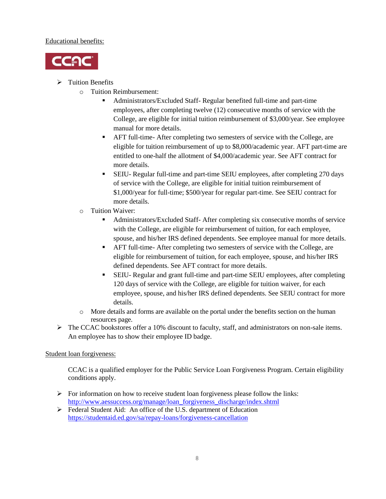## Educational benefits:



- $\triangleright$  Tuition Benefits
	- o Tuition Reimbursement:
		- Administrators/Excluded Staff- Regular benefited full-time and part-time employees, after completing twelve (12) consecutive months of service with the College, are eligible for initial tuition reimbursement of \$3,000/year. See employee manual for more details.
		- AFT full-time- After completing two semesters of service with the College, are eligible for tuition reimbursement of up to \$8,000/academic year. AFT part-time are entitled to one-half the allotment of \$4,000/academic year. See AFT contract for more details.
		- SEIU- Regular full-time and part-time SEIU employees, after completing 270 days of service with the College, are eligible for initial tuition reimbursement of \$1,000/year for full-time; \$500/year for regular part-time. See SEIU contract for more details.
	- o Tuition Waiver:
		- Administrators/Excluded Staff- After completing six consecutive months of service with the College, are eligible for reimbursement of tuition, for each employee, spouse, and his/her IRS defined dependents. See employee manual for more details.
		- AFT full-time- After completing two semesters of service with the College, are eligible for reimbursement of tuition, for each employee, spouse, and his/her IRS defined dependents. See AFT contract for more details.
		- SEIU- Regular and grant full-time and part-time SEIU employees, after completing 120 days of service with the College, are eligible for tuition waiver, for each employee, spouse, and his/her IRS defined dependents. See SEIU contract for more details.
	- o More details and forms are available on the portal under the benefits section on the human resources page.
- $\triangleright$  The CCAC bookstores offer a 10% discount to faculty, staff, and administrators on non-sale items. An employee has to show their employee ID badge.

# Student loan forgiveness:

CCAC is a qualified employer for the Public Service Loan Forgiveness Program. Certain eligibility conditions apply.

- $\triangleright$  For information on how to receive student loan forgiveness please follow the links: [http://www.aessuccess.org/manage/loan\\_forgiveness\\_discharge/index.shtml](http://www.aessuccess.org/manage/loan_forgiveness_discharge/index.shtml)
- Federal Student Aid: An office of the U.S. department of Education <https://studentaid.ed.gov/sa/repay-loans/forgiveness-cancellation>